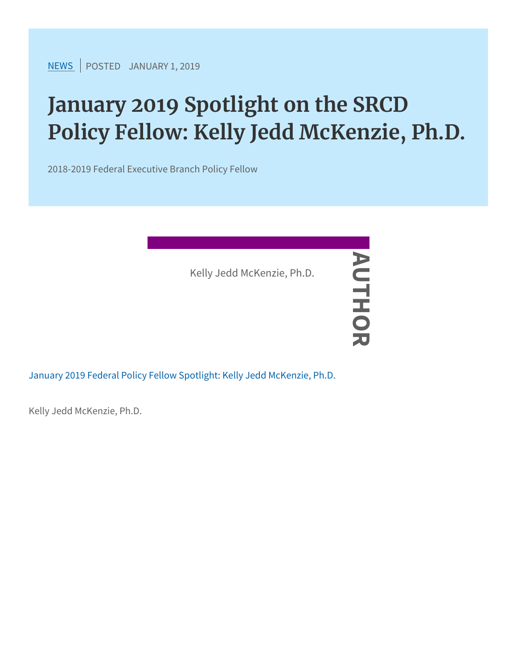[NEW](https://www.srcd.org/news)SPOSTEJANUARY 1, 2019

## January 2019 Spotlight on the S Policy Fellow: Kelly Jedd McKen

2018-2019 Federal Executive Branch Policy Fellow

[January 2019 Federal Policy Fellow Spotlig](https://www.srcd.org/sites/default/files/file-attachments/mckenzie_spotlight_jan2019.pdf)ht: Kelly Jedd McKenzie Kelly Jedd McKenzie, Ph.D.<br>
—<br>
Policy Fellow Spotlight. Kelly

Kelly Jedd McKenzie, Ph.D.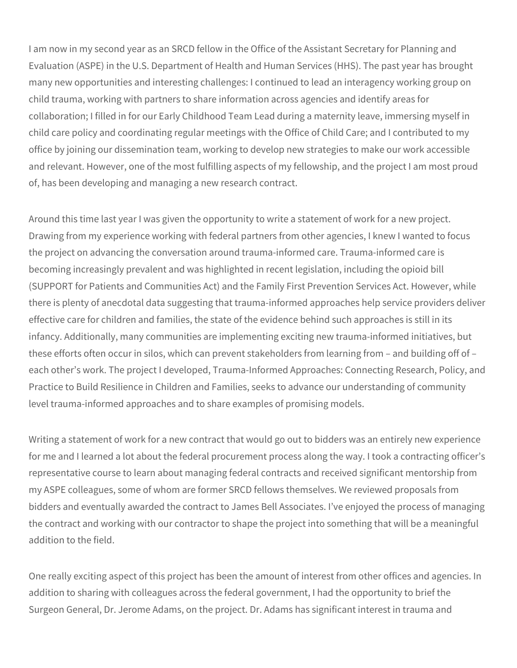I am now in my second year as an SRCD fellow in the Office of the Assistant Secretary for Planning and Evaluation (ASPE) in the U.S. Department of Health and Human Services (HHS). The past year has brought many new opportunities and interesting challenges: I continued to lead an interagency working group on child trauma, working with partners to share information across agencies and identify areas for collaboration; I filled in for our Early Childhood Team Lead during a maternity leave, immersing myself in child care policy and coordinating regular meetings with the Office of Child Care; and I contributed to my office by joining our dissemination team, working to develop new strategies to make our work accessible and relevant. However, one of the most fulfilling aspects of my fellowship, and the project I am most proud of, has been developing and managing a new research contract.

Around this time last year I was given the opportunity to write a statement of work for a new project. Drawing from my experience working with federal partners from other agencies, I knew I wanted to focus the project on advancing the conversation around trauma-informed care. Trauma-informed care is becoming increasingly prevalent and was highlighted in recent legislation, including the opioid bill (SUPPORT for Patients and Communities Act) and the Family First Prevention Services Act. However, while there is plenty of anecdotal data suggesting that trauma-informed approaches help service providers deliver effective care for children and families, the state of the evidence behind such approaches is still in its infancy. Additionally, many communities are implementing exciting new trauma-informed initiatives, but these efforts often occur in silos, which can prevent stakeholders from learning from – and building off of – each other's work. The project I developed, Trauma-Informed Approaches: Connecting Research, Policy, and Practice to Build Resilience in Children and Families, seeks to advance our understanding of community level trauma-informed approaches and to share examples of promising models.

Writing a statement of work for a new contract that would go out to bidders was an entirely new experience for me and I learned a lot about the federal procurement process along the way. I took a contracting officer's representative course to learn about managing federal contracts and received significant mentorship from my ASPE colleagues, some of whom are former SRCD fellows themselves. We reviewed proposals from bidders and eventually awarded the contract to James Bell Associates. I've enjoyed the process of managing the contract and working with our contractor to shape the project into something that will be a meaningful addition to the field.

One really exciting aspect of this project has been the amount of interest from other offices and agencies. In addition to sharing with colleagues across the federal government, I had the opportunity to brief the Surgeon General, Dr. Jerome Adams, on the project. Dr. Adams has significant interest in trauma and